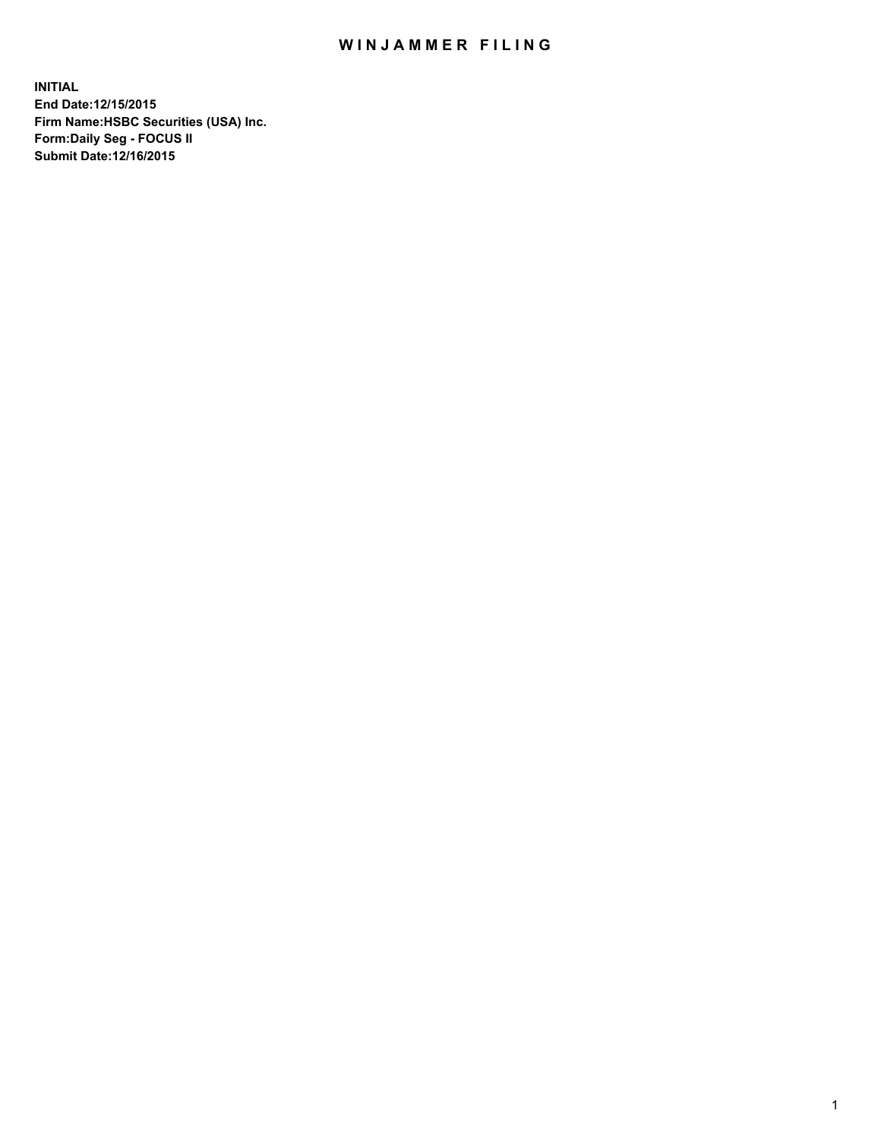## WIN JAMMER FILING

**INITIAL End Date:12/15/2015 Firm Name:HSBC Securities (USA) Inc. Form:Daily Seg - FOCUS II Submit Date:12/16/2015**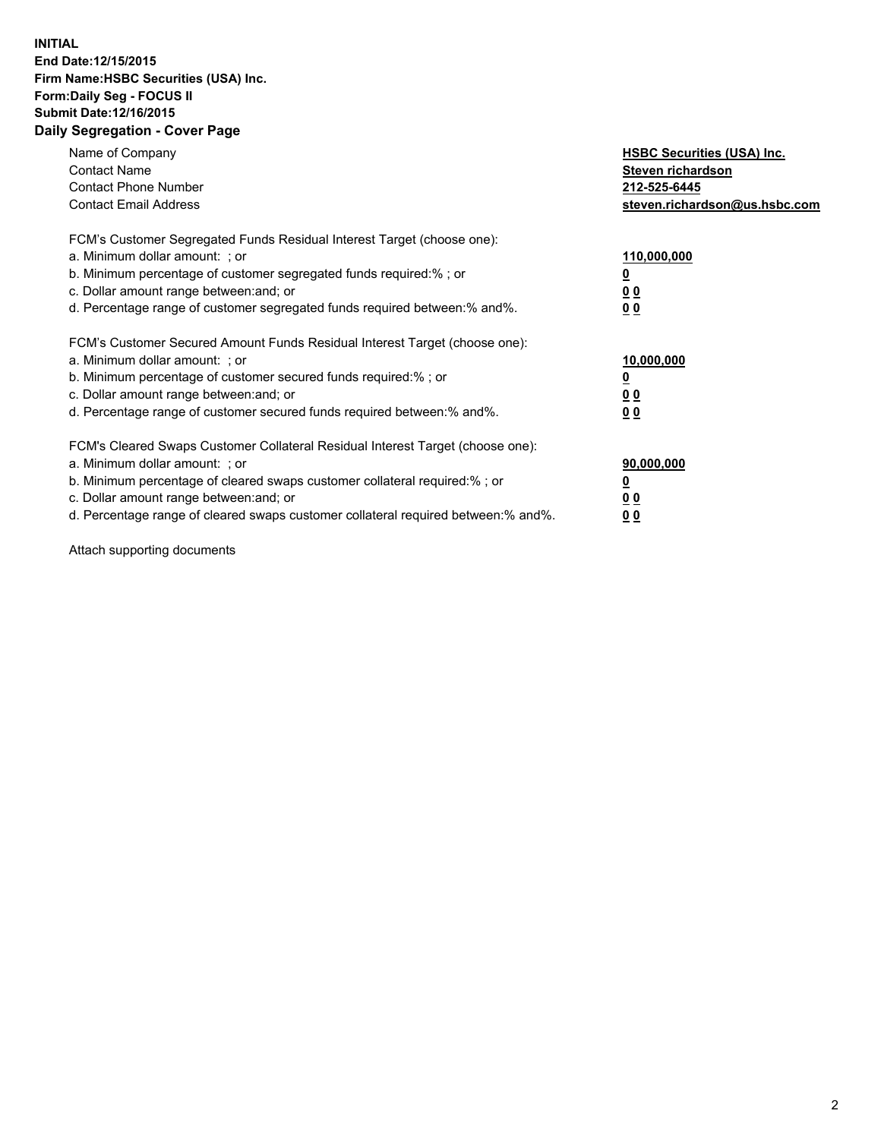## **INITIAL End Date:12/15/2015 Firm Name:HSBC Securities (USA) Inc. Form:Daily Seg - FOCUS II Submit Date:12/16/2015 Daily Segregation - Cover Page**

| Name of Company<br><b>Contact Name</b><br><b>Contact Phone Number</b><br><b>Contact Email Address</b>                                                                                                                                                                                                                          | <b>HSBC Securities (USA) Inc.</b><br>Steven richardson<br>212-525-6445<br>steven.richardson@us.hsbc.com |
|--------------------------------------------------------------------------------------------------------------------------------------------------------------------------------------------------------------------------------------------------------------------------------------------------------------------------------|---------------------------------------------------------------------------------------------------------|
| FCM's Customer Segregated Funds Residual Interest Target (choose one):<br>a. Minimum dollar amount: ; or<br>b. Minimum percentage of customer segregated funds required:%; or<br>c. Dollar amount range between: and; or<br>d. Percentage range of customer segregated funds required between: % and %.                        | 110,000,000<br><u>0</u><br>0 <sub>0</sub><br>0 <sub>0</sub>                                             |
| FCM's Customer Secured Amount Funds Residual Interest Target (choose one):<br>a. Minimum dollar amount: ; or<br>b. Minimum percentage of customer secured funds required:%; or<br>c. Dollar amount range between: and; or<br>d. Percentage range of customer secured funds required between:% and%.                            | 10,000,000<br><u>0</u><br>0 <sub>0</sub><br>0 <sub>0</sub>                                              |
| FCM's Cleared Swaps Customer Collateral Residual Interest Target (choose one):<br>a. Minimum dollar amount: ; or<br>b. Minimum percentage of cleared swaps customer collateral required:% ; or<br>c. Dollar amount range between: and; or<br>d. Percentage range of cleared swaps customer collateral required between:% and%. | 90,000,000<br>0 <sub>0</sub><br>00                                                                      |

Attach supporting documents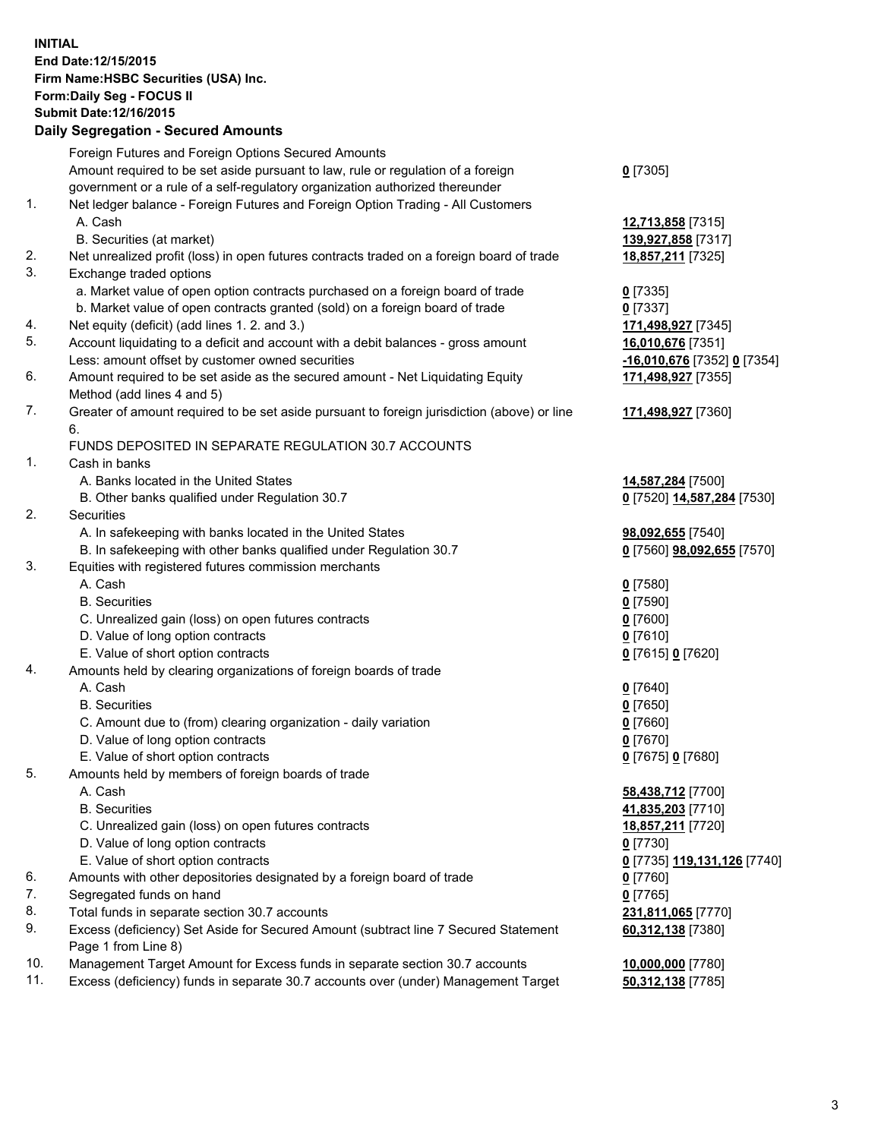**INITIAL End Date:12/15/2015 Firm Name:HSBC Securities (USA) Inc. Form:Daily Seg - FOCUS II Submit Date:12/16/2015 Daily Segregation - Secured Amounts**

## Foreign Futures and Foreign Options Secured Amounts Amount required to be set aside pursuant to law, rule or regulation of a foreign government or a rule of a self-regulatory organization authorized thereunder **0** [7305] 1. Net ledger balance - Foreign Futures and Foreign Option Trading - All Customers A. Cash **12,713,858** [7315] B. Securities (at market) **139,927,858** [7317] 2. Net unrealized profit (loss) in open futures contracts traded on a foreign board of trade **18,857,211** [7325] 3. Exchange traded options a. Market value of open option contracts purchased on a foreign board of trade **0** [7335] b. Market value of open contracts granted (sold) on a foreign board of trade **0** [7337] 4. Net equity (deficit) (add lines 1. 2. and 3.) **171,498,927** [7345] 5. Account liquidating to a deficit and account with a debit balances - gross amount **16,010,676** [7351] Less: amount offset by customer owned securities **-16,010,676** [7352] **0** [7354] 6. Amount required to be set aside as the secured amount - Net Liquidating Equity Method (add lines 4 and 5) **171,498,927** [7355] 7. Greater of amount required to be set aside pursuant to foreign jurisdiction (above) or line 6. **171,498,927** [7360] FUNDS DEPOSITED IN SEPARATE REGULATION 30.7 ACCOUNTS 1. Cash in banks A. Banks located in the United States **14,587,284** [7500] B. Other banks qualified under Regulation 30.7 **0** [7520] **14,587,284** [7530] 2. Securities A. In safekeeping with banks located in the United States **98,092,655** [7540] B. In safekeeping with other banks qualified under Regulation 30.7 **0** [7560] **98,092,655** [7570] 3. Equities with registered futures commission merchants A. Cash **0** [7580] B. Securities **0** [7590] C. Unrealized gain (loss) on open futures contracts **0** [7600] D. Value of long option contracts **0** [7610] E. Value of short option contracts **0** [7615] **0** [7620] 4. Amounts held by clearing organizations of foreign boards of trade A. Cash **0** [7640] B. Securities **0** [7650] C. Amount due to (from) clearing organization - daily variation **0** [7660] D. Value of long option contracts **0** [7670] E. Value of short option contracts **0** [7675] **0** [7680] 5. Amounts held by members of foreign boards of trade A. Cash **58,438,712** [7700] B. Securities **41,835,203** [7710] C. Unrealized gain (loss) on open futures contracts **18,857,211** [7720] D. Value of long option contracts **0** [7730] E. Value of short option contracts **0** [7735] **119,131,126** [7740] 6. Amounts with other depositories designated by a foreign board of trade **0** [7760] 7. Segregated funds on hand **0** [7765] 8. Total funds in separate section 30.7 accounts **231,811,065** [7770] 9. Excess (deficiency) Set Aside for Secured Amount (subtract line 7 Secured Statement Page 1 from Line 8) **60,312,138** [7380] 10. Management Target Amount for Excess funds in separate section 30.7 accounts **10,000,000** [7780] 11. Excess (deficiency) funds in separate 30.7 accounts over (under) Management Target **50,312,138** [7785]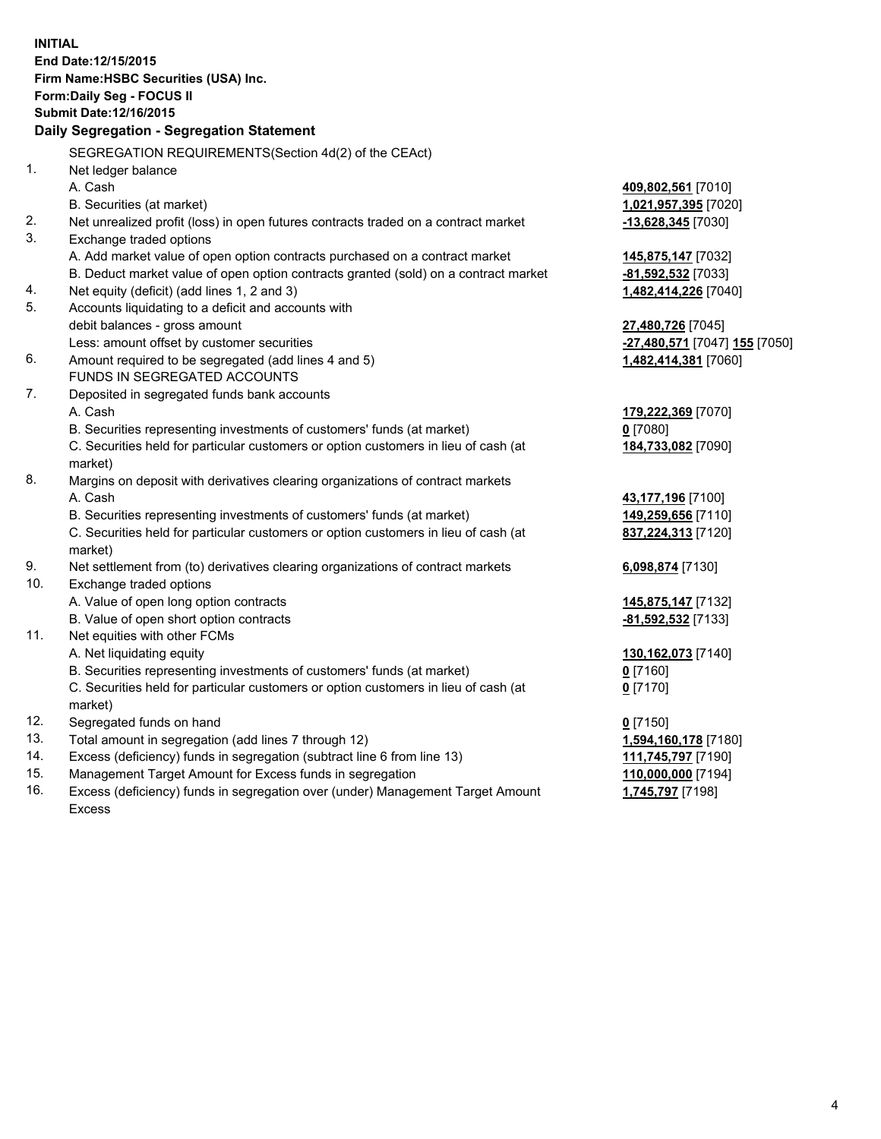**INITIAL End Date:12/15/2015 Firm Name:HSBC Securities (USA) Inc. Form:Daily Seg - FOCUS II Submit Date:12/16/2015 Daily Segregation - Segregation Statement** SEGREGATION REQUIREMENTS(Section 4d(2) of the CEAct) 1. Net ledger balance A. Cash **409,802,561** [7010] B. Securities (at market) **1,021,957,395** [7020] 2. Net unrealized profit (loss) in open futures contracts traded on a contract market **-13,628,345** [7030] 3. Exchange traded options A. Add market value of open option contracts purchased on a contract market **145,875,147** [7032] B. Deduct market value of open option contracts granted (sold) on a contract market **-81,592,532** [7033] 4. Net equity (deficit) (add lines 1, 2 and 3) **1,482,414,226** [7040] 5. Accounts liquidating to a deficit and accounts with debit balances - gross amount **27,480,726** [7045] Less: amount offset by customer securities **-27,480,571** [7047] **155** [7050] 6. Amount required to be segregated (add lines 4 and 5) **1,482,414,381** [7060] FUNDS IN SEGREGATED ACCOUNTS 7. Deposited in segregated funds bank accounts A. Cash **179,222,369** [7070] B. Securities representing investments of customers' funds (at market) **0** [7080] C. Securities held for particular customers or option customers in lieu of cash (at market) **184,733,082** [7090] 8. Margins on deposit with derivatives clearing organizations of contract markets A. Cash **43,177,196** [7100] B. Securities representing investments of customers' funds (at market) **149,259,656** [7110] C. Securities held for particular customers or option customers in lieu of cash (at market) **837,224,313** [7120] 9. Net settlement from (to) derivatives clearing organizations of contract markets **6,098,874** [7130] 10. Exchange traded options A. Value of open long option contracts **145,875,147** [7132] B. Value of open short option contracts **-81,592,532** [7133] 11. Net equities with other FCMs A. Net liquidating equity **130,162,073** [7140] B. Securities representing investments of customers' funds (at market) **0** [7160] C. Securities held for particular customers or option customers in lieu of cash (at market) **0** [7170] 12. Segregated funds on hand **0** [7150] 13. Total amount in segregation (add lines 7 through 12) **1,594,160,178** [7180] 14. Excess (deficiency) funds in segregation (subtract line 6 from line 13) **111,745,797** [7190] 15. Management Target Amount for Excess funds in segregation **110,000,000** [7194]

16. Excess (deficiency) funds in segregation over (under) Management Target Amount Excess

## **1,745,797** [7198]